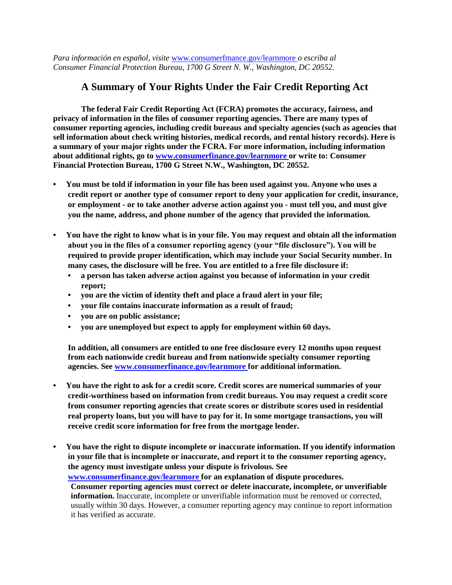## **A Summary of Your Rights Under the Fair Credit Reporting Act**

**The federal Fair Credit Reporting Act (FCRA) promotes the accuracy, fairness, and privacy of information in the files of consumer reporting agencies. There are many types of consumer reporting agencies, including credit bureaus and specialty agencies (such as agencies that sell information about check writing histories, medical records, and rental history records). Here is a summary of your major rights under the FCRA. For more information, including information about additional rights, go to [www.consumerfinance.gov/learnmore](http://www.consumerfinance.gov/learnmore) or write to: Consumer Financial Protection Bureau, 1700 G Street N.W., Washington, DC 20552.**

- **• You must be told if information in your file has been used against you. Anyone who uses a credit report or another type of consumer report to deny your application for credit, insurance, or employment - or to take another adverse action against you - must tell you, and must give you the name, address, and phone number of the agency that provided the information.**
- **• You have the right to know what is in your file. You may request and obtain all the information about you in the files of a consumer reporting agency (your "file disclosure"). You will be required to provide proper identification, which may include your Social Security number. In many cases, the disclosure will be free. You are entitled to a free file disclosure if:**
	- **• a person has taken adverse action against you because of information in your credit report;**
	- **• you are the victim of identity theft and place a fraud alert in your file;**
	- **• your file contains inaccurate information as a result of fraud;**
	- **• you are on public assistance;**
	- **• you are unemployed but expect to apply for employment within 60 days.**

**In addition, all consumers are entitled to one free disclosure every 12 months upon request from each nationwide credit bureau and from nationwide specialty consumer reporting agencies. See [www.consumerfinance.gov/learnmore](http://www.consumerfinance.gov/learnmore) for additional information.**

- **• You have the right to ask for a credit score. Credit scores are numerical summaries of your credit-worthiness based on information from credit bureaus. You may request a credit score from consumer reporting agencies that create scores or distribute scores used in residential real property loans, but you will have to pay for it. In some mortgage transactions, you will receive credit score information for free from the mortgage lender.**
- **• You have the right to dispute incomplete or inaccurate information. If you identify information in your file that is incomplete or inaccurate, and report it to the consumer reporting agency, the agency must investigate unless your dispute is frivolous. See [www.consumerfinance.gov/learnmore](http://www.consumerfinance.gov/learnmore) for an explanation of dispute procedures. Consumer reporting agencies must correct or delete inaccurate, incomplete, or unverifiable information.** Inaccurate, incomplete or unverifiable information must be removed or corrected, usually within 30 days. However, a consumer reporting agency may continue to report information it has verified as accurate.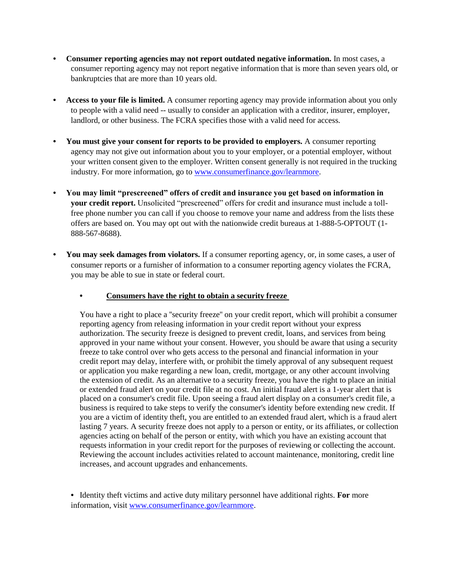- **• Consumer reporting agencies may not report outdated negative information.** In most cases, a consumer reporting agency may not report negative information that is more than seven years old, or bankruptcies that are more than 10 years old.
- **• Access to your file is limited.** A consumer reporting agency may provide information about you only to people with a valid need -- usually to consider an application with a creditor, insurer, employer, landlord, or other business. The FCRA specifies those with a valid need for access.
- **• You must give your consent for reports to be provided to employers.** A consumer reporting agency may not give out information about you to your employer, or a potential employer, without your written consent given to the employer. Written consent generally is not required in the trucking industry. For more information, go to [www.consumerfinance.gov/learnmore.](http://www.consumerfinance.gov/learnmore)
- **• You may limit "prescreened" offers of credit and insurance you get based on information in your credit report.** Unsolicited "prescreened" offers for credit and insurance must include a tollfree phone number you can call if you choose to remove your name and address from the lists these offers are based on. You may opt out with the nationwide credit bureaus at 1-888-5-OPTOUT (1- 888-567-8688).
- **• You may seek damages from violators.** If a consumer reporting agency, or, in some cases, a user of consumer reports or a furnisher of information to a consumer reporting agency violates the FCRA, you may be able to sue in state or federal court.

## **• Consumers have the right to obtain a security freeze**

You have a right to place a ''security freeze'' on your credit report, which will prohibit a consumer reporting agency from releasing information in your credit report without your express authorization. The security freeze is designed to prevent credit, loans, and services from being approved in your name without your consent. However, you should be aware that using a security freeze to take control over who gets access to the personal and financial information in your credit report may delay, interfere with, or prohibit the timely approval of any subsequent request or application you make regarding a new loan, credit, mortgage, or any other account involving the extension of credit. As an alternative to a security freeze, you have the right to place an initial or extended fraud alert on your credit file at no cost. An initial fraud alert is a 1-year alert that is placed on a consumer's credit file. Upon seeing a fraud alert display on a consumer's credit file, a business is required to take steps to verify the consumer's identity before extending new credit. If you are a victim of identity theft, you are entitled to an extended fraud alert, which is a fraud alert lasting 7 years. A security freeze does not apply to a person or entity, or its affiliates, or collection agencies acting on behalf of the person or entity, with which you have an existing account that requests information in your credit report for the purposes of reviewing or collecting the account. Reviewing the account includes activities related to account maintenance, monitoring, credit line increases, and account upgrades and enhancements.

**•** Identity theft victims and active duty military personnel have additional rights. **For** more information, visit [www.consumerfinance.gov/learnmore.](http://www.consumerfinance.gov/learnmore)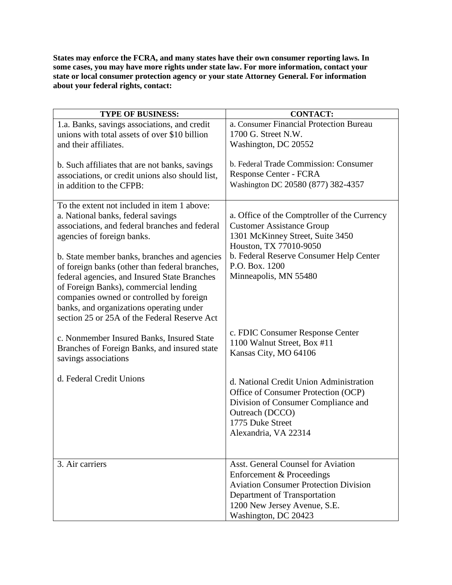**States may enforce the FCRA, and many states have their own consumer reporting laws. In some cases, you may have more rights under state law. For more information, contact your state or local consumer protection agency or your state Attorney General. For information about your federal rights, contact:**

| <b>TYPE OF BUSINESS:</b>                                                                                                                                                                                                                                                                                                                                                                                                                                                                             | <b>CONTACT:</b>                                                                                                                                                                                                                      |
|------------------------------------------------------------------------------------------------------------------------------------------------------------------------------------------------------------------------------------------------------------------------------------------------------------------------------------------------------------------------------------------------------------------------------------------------------------------------------------------------------|--------------------------------------------------------------------------------------------------------------------------------------------------------------------------------------------------------------------------------------|
| 1.a. Banks, savings associations, and credit                                                                                                                                                                                                                                                                                                                                                                                                                                                         | a. Consumer Financial Protection Bureau                                                                                                                                                                                              |
| unions with total assets of over \$10 billion                                                                                                                                                                                                                                                                                                                                                                                                                                                        | 1700 G. Street N.W.                                                                                                                                                                                                                  |
| and their affiliates.                                                                                                                                                                                                                                                                                                                                                                                                                                                                                | Washington, DC 20552                                                                                                                                                                                                                 |
| b. Such affiliates that are not banks, savings<br>associations, or credit unions also should list,<br>in addition to the CFPB:                                                                                                                                                                                                                                                                                                                                                                       | b. Federal Trade Commission: Consumer<br><b>Response Center - FCRA</b><br>Washington DC 20580 (877) 382-4357                                                                                                                         |
| To the extent not included in item 1 above:<br>a. National banks, federal savings<br>associations, and federal branches and federal<br>agencies of foreign banks.<br>b. State member banks, branches and agencies<br>of foreign banks (other than federal branches,<br>federal agencies, and Insured State Branches<br>of Foreign Banks), commercial lending<br>companies owned or controlled by foreign<br>banks, and organizations operating under<br>section 25 or 25A of the Federal Reserve Act | a. Office of the Comptroller of the Currency<br><b>Customer Assistance Group</b><br>1301 McKinney Street, Suite 3450<br>Houston, TX 77010-9050<br>b. Federal Reserve Consumer Help Center<br>P.O. Box. 1200<br>Minneapolis, MN 55480 |
| c. Nonmember Insured Banks, Insured State<br>Branches of Foreign Banks, and insured state<br>savings associations                                                                                                                                                                                                                                                                                                                                                                                    | c. FDIC Consumer Response Center<br>1100 Walnut Street, Box #11<br>Kansas City, MO 64106                                                                                                                                             |
| d. Federal Credit Unions                                                                                                                                                                                                                                                                                                                                                                                                                                                                             | d. National Credit Union Administration<br>Office of Consumer Protection (OCP)<br>Division of Consumer Compliance and<br>Outreach (DCCO)<br>1775 Duke Street<br>Alexandria, VA 22314                                                 |
| 3. Air carriers                                                                                                                                                                                                                                                                                                                                                                                                                                                                                      | Asst. General Counsel for Aviation<br>Enforcement & Proceedings<br><b>Aviation Consumer Protection Division</b><br>Department of Transportation<br>1200 New Jersey Avenue, S.E.<br>Washington, DC 20423                              |